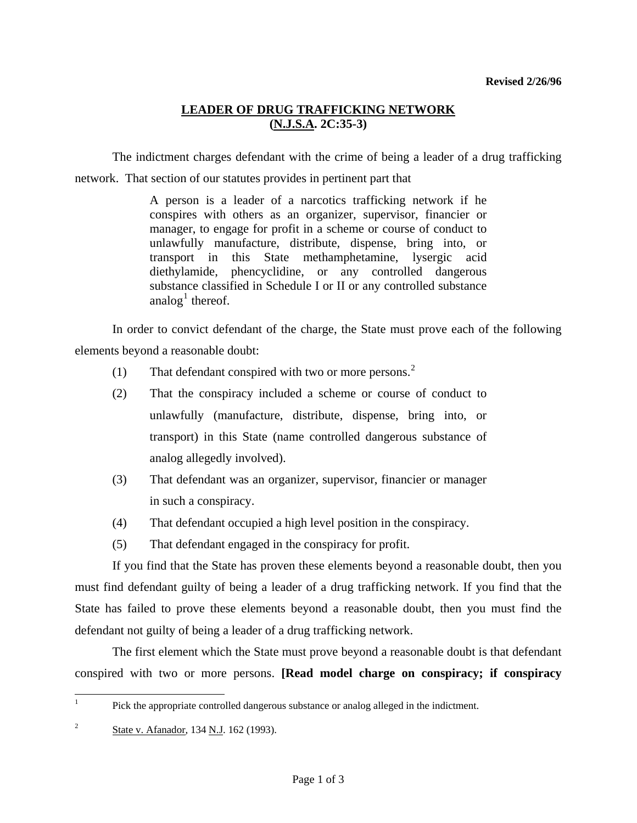## **LEADER OF DRUG TRAFFICKING NETWORK (N.J.S.A. 2C:35-3)**

 The indictment charges defendant with the crime of being a leader of a drug trafficking network. That section of our statutes provides in pertinent part that

> A person is a leader of a narcotics trafficking network if he conspires with others as an organizer, supervisor, financier or manager, to engage for profit in a scheme or course of conduct to unlawfully manufacture, distribute, dispense, bring into, or transport in this State methamphetamine, lysergic acid diethylamide, phencyclidine, or any controlled dangerous substance classified in Schedule I or II or any controlled substance analog<sup>[1](#page-0-0)</sup> thereof.

 In order to convict defendant of the charge, the State must prove each of the following elements beyond a reasonable doubt:

- (1) That defendant conspired with two or more persons.<sup>[2](#page-0-1)</sup>
- (2) That the conspiracy included a scheme or course of conduct to unlawfully (manufacture, distribute, dispense, bring into, or transport) in this State (name controlled dangerous substance of analog allegedly involved).
- (3) That defendant was an organizer, supervisor, financier or manager in such a conspiracy.
- (4) That defendant occupied a high level position in the conspiracy.
- (5) That defendant engaged in the conspiracy for profit.

 If you find that the State has proven these elements beyond a reasonable doubt, then you must find defendant guilty of being a leader of a drug trafficking network. If you find that the State has failed to prove these elements beyond a reasonable doubt, then you must find the defendant not guilty of being a leader of a drug trafficking network.

<span id="page-0-2"></span> The first element which the State must prove beyond a reasonable doubt is that defendant conspired with two or more persons. **[Read model charge on conspiracy; if conspiracy** 

<span id="page-0-0"></span> $\frac{1}{1}$ Pick the appropriate controlled dangerous substance or analog alleged in the indictment.

<span id="page-0-1"></span><sup>&</sup>lt;sup>2</sup> State v. Afanador, 134 N.J. 162 (1993).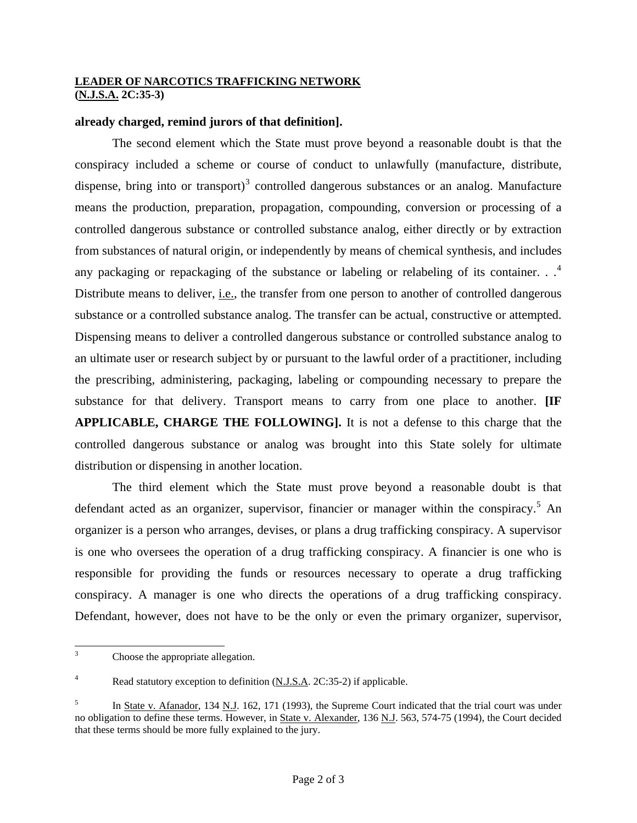## **LEADER OF NARCOTICS TRAFFICKING NETWORK (N.J.S.A. 2C:35-3)**

## **already charged, remind jurors of that definition].**

 The second element which the State must prove beyond a reasonable doubt is that the conspiracy included a scheme or course of conduct to unlawfully (manufacture, distribute, dispense, bring into or transport)<sup>[3](#page-0-2)</sup> controlled dangerous substances or an analog. Manufacture means the production, preparation, propagation, compounding, conversion or processing of a controlled dangerous substance or controlled substance analog, either directly or by extraction from substances of natural origin, or independently by means of chemical synthesis, and includes any packaging or repackaging of the substance or labeling or relabeling of its container.  $\cdot$ .<sup>[4](#page-1-0)</sup> Distribute means to deliver, *i.e.*, the transfer from one person to another of controlled dangerous substance or a controlled substance analog. The transfer can be actual, constructive or attempted. Dispensing means to deliver a controlled dangerous substance or controlled substance analog to an ultimate user or research subject by or pursuant to the lawful order of a practitioner, including the prescribing, administering, packaging, labeling or compounding necessary to prepare the substance for that delivery. Transport means to carry from one place to another. **[IF APPLICABLE, CHARGE THE FOLLOWING].** It is not a defense to this charge that the controlled dangerous substance or analog was brought into this State solely for ultimate distribution or dispensing in another location.

 The third element which the State must prove beyond a reasonable doubt is that defendant acted as an organizer, supervisor, financier or manager within the conspiracy.<sup>[5](#page-1-1)</sup> An organizer is a person who arranges, devises, or plans a drug trafficking conspiracy. A supervisor is one who oversees the operation of a drug trafficking conspiracy. A financier is one who is responsible for providing the funds or resources necessary to operate a drug trafficking conspiracy. A manager is one who directs the operations of a drug trafficking conspiracy. Defendant, however, does not have to be the only or even the primary organizer, supervisor,

 3 Choose the appropriate allegation.

<span id="page-1-0"></span><sup>4</sup> Read statutory exception to definition (N.J.S.A. 2C:35-2) if applicable.

<span id="page-1-1"></span><sup>5</sup> In State v. Afanador, 134 N.J. 162, 171 (1993), the Supreme Court indicated that the trial court was under no obligation to define these terms. However, in State v. Alexander, 136 N.J. 563, 574-75 (1994), the Court decided that these terms should be more fully explained to the jury.